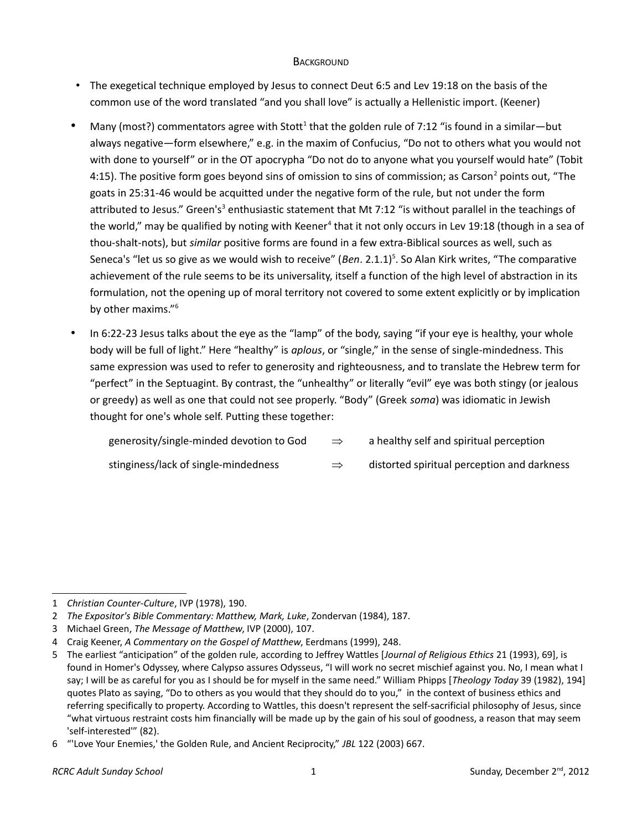## **BACKGROUND**

- The exegetical technique employed by Jesus to connect Deut 6:5 and Lev 19:18 on the basis of the common use of the word translated "and you shall love" is actually a Hellenistic import. (Keener)
- Many (most?) commentators agree with Stott<sup>[1](#page-0-0)</sup> that the golden rule of 7:12 "is found in a similar—but always negative—form elsewhere," e.g. in the maxim of Confucius, "Do not to others what you would not with done to yourself" or in the OT apocrypha "Do not do to anyone what you yourself would hate" (Tobit 4:15). The positive form goes beyond sins of omission to sins of commission; as Carson<sup>[2](#page-0-1)</sup> points out, "The goats in 25:31-46 would be acquitted under the negative form of the rule, but not under the form attributed to Jesus." Green's<sup>[3](#page-0-2)</sup> enthusiastic statement that Mt 7:12 "is without parallel in the teachings of the world," may be qualified by noting with Keener<sup>[4](#page-0-3)</sup> that it not only occurs in Lev 19:18 (though in a sea of thou-shalt-nots), but *similar* positive forms are found in a few extra-Biblical sources as well, such as Seneca's "let us so give as we would wish to receive" (Ben. 2.1.1)<sup>[5](#page-0-4)</sup>. So Alan Kirk writes, "The comparative achievement of the rule seems to be its universality, itself a function of the high level of abstraction in its formulation, not the opening up of moral territory not covered to some extent explicitly or by implication by other maxims."<sup>[6](#page-0-5)</sup>
- In 6:22-23 Jesus talks about the eye as the "lamp" of the body, saying "if your eye is healthy, your whole body will be full of light." Here "healthy" is *aplous*, or "single," in the sense of single-mindedness. This same expression was used to refer to generosity and righteousness, and to translate the Hebrew term for "perfect" in the Septuagint. By contrast, the "unhealthy" or literally "evil" eye was both stingy (or jealous or greedy) as well as one that could not see properly. "Body" (Greek *soma*) was idiomatic in Jewish thought for one's whole self. Putting these together:

| generosity/single-minded devotion to God |  | a healthy self and spiritual perception |
|------------------------------------------|--|-----------------------------------------|
|------------------------------------------|--|-----------------------------------------|

| stinginess/lack of single-mindedness |  | distorted spiritual perception and darkness |
|--------------------------------------|--|---------------------------------------------|
|--------------------------------------|--|---------------------------------------------|

<span id="page-0-0"></span><sup>1</sup> *Christian Counter-Culture*, IVP (1978), 190.

<span id="page-0-1"></span><sup>2</sup> *The Expositor's Bible Commentary: Matthew, Mark, Luke*, Zondervan (1984), 187.

<span id="page-0-2"></span><sup>3</sup> Michael Green, *The Message of Matthew*, IVP (2000), 107.

<span id="page-0-3"></span><sup>4</sup> Craig Keener, *A Commentary on the Gospel of Matthew*, Eerdmans (1999), 248.

<span id="page-0-4"></span><sup>5</sup> The earliest "anticipation" of the golden rule, according to Jeffrey Wattles [*Journal of Religious Ethics* 21 (1993), 69], is found in Homer's Odyssey, where Calypso assures Odysseus, "I will work no secret mischief against you. No, I mean what I say; I will be as careful for you as I should be for myself in the same need." William Phipps [*Theology Today* 39 (1982), 194] quotes Plato as saying, "Do to others as you would that they should do to you," in the context of business ethics and referring specifically to property. According to Wattles, this doesn't represent the self-sacrificial philosophy of Jesus, since "what virtuous restraint costs him financially will be made up by the gain of his soul of goodness, a reason that may seem 'self-interested'" (82).

<span id="page-0-5"></span><sup>6</sup> "'Love Your Enemies,' the Golden Rule, and Ancient Reciprocity," *JBL* 122 (2003) 667.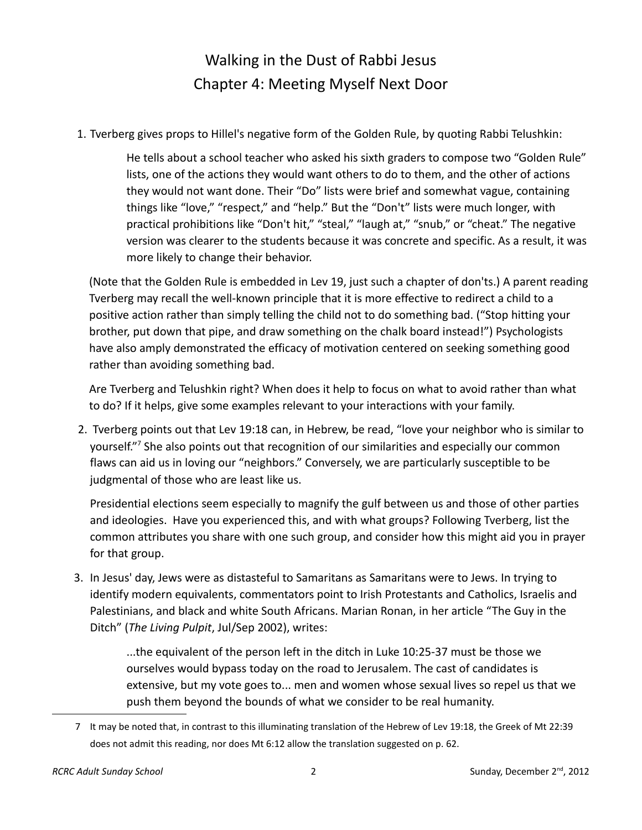## Walking in the Dust of Rabbi Jesus Chapter 4: Meeting Myself Next Door

1. Tverberg gives props to Hillel's negative form of the Golden Rule, by quoting Rabbi Telushkin:

He tells about a school teacher who asked his sixth graders to compose two "Golden Rule" lists, one of the actions they would want others to do to them, and the other of actions they would not want done. Their "Do" lists were brief and somewhat vague, containing things like "love," "respect," and "help." But the "Don't" lists were much longer, with practical prohibitions like "Don't hit," "steal," "laugh at," "snub," or "cheat." The negative version was clearer to the students because it was concrete and specific. As a result, it was more likely to change their behavior.

(Note that the Golden Rule is embedded in Lev 19, just such a chapter of don'ts.) A parent reading Tverberg may recall the well-known principle that it is more effective to redirect a child to a positive action rather than simply telling the child not to do something bad. ("Stop hitting your brother, put down that pipe, and draw something on the chalk board instead!") Psychologists have also amply demonstrated the efficacy of motivation centered on seeking something good rather than avoiding something bad.

Are Tverberg and Telushkin right? When does it help to focus on what to avoid rather than what to do? If it helps, give some examples relevant to your interactions with your family.

 2. Tverberg points out that Lev 19:18 can, in Hebrew, be read, "love your neighbor who is similar to yourself."[7](#page-1-0) She also points out that recognition of our similarities and especially our common flaws can aid us in loving our "neighbors." Conversely, we are particularly susceptible to be judgmental of those who are least like us.

Presidential elections seem especially to magnify the gulf between us and those of other parties and ideologies. Have you experienced this, and with what groups? Following Tverberg, list the common attributes you share with one such group, and consider how this might aid you in prayer for that group.

 3. In Jesus' day, Jews were as distasteful to Samaritans as Samaritans were to Jews. In trying to identify modern equivalents, commentators point to Irish Protestants and Catholics, Israelis and Palestinians, and black and white South Africans. Marian Ronan, in her article "The Guy in the Ditch" (*The Living Pulpit*, Jul/Sep 2002), writes:

> ...the equivalent of the person left in the ditch in Luke 10:25-37 must be those we ourselves would bypass today on the road to Jerusalem. The cast of candidates is extensive, but my vote goes to... men and women whose sexual lives so repel us that we push them beyond the bounds of what we consider to be real humanity.

<span id="page-1-0"></span><sup>7</sup> It may be noted that, in contrast to this illuminating translation of the Hebrew of Lev 19:18, the Greek of Mt 22:39 does not admit this reading, nor does Mt 6:12 allow the translation suggested on p. 62.